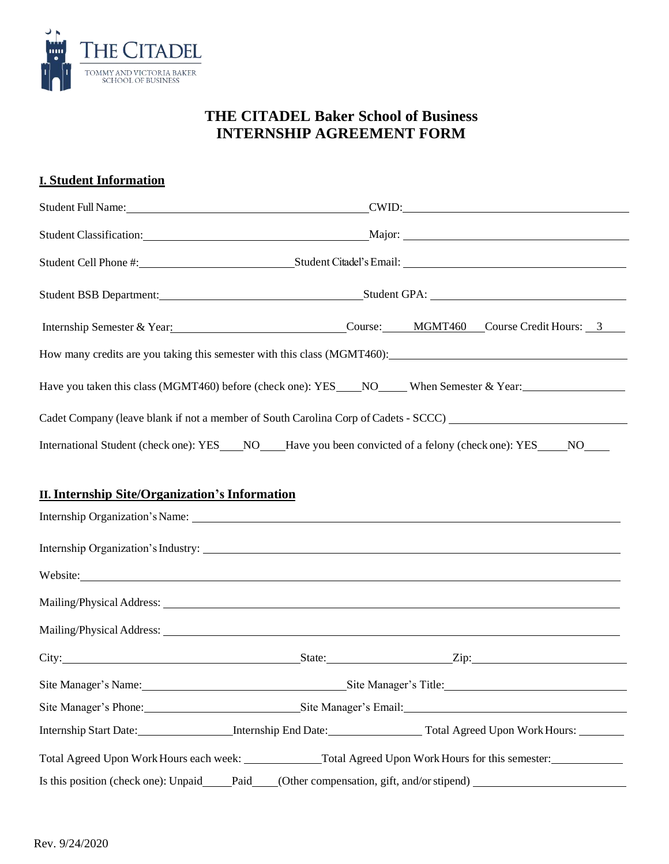

### **I. Student Information**

| Student Full Name: CWID: CWID:                                                      |                                                                                                                |  |  |  |  |
|-------------------------------------------------------------------------------------|----------------------------------------------------------------------------------------------------------------|--|--|--|--|
|                                                                                     |                                                                                                                |  |  |  |  |
|                                                                                     | Student Cell Phone #: Student Citadel's Email: Student Citadel's Email:                                        |  |  |  |  |
|                                                                                     | Student BSB Department: Student GPA: Student GPA:                                                              |  |  |  |  |
|                                                                                     | Internship Semester & Year: Course: MGMT460 Course Credit Hours: 3                                             |  |  |  |  |
| How many credits are you taking this semester with this class (MGMT460):            |                                                                                                                |  |  |  |  |
|                                                                                     | Have you taken this class (MGMT460) before (check one): YES____NO____When Semester & Year:____________________ |  |  |  |  |
| Cadet Company (leave blank if not a member of South Carolina Corp of Cadets - SCCC) |                                                                                                                |  |  |  |  |
|                                                                                     | International Student (check one): YES NO Have you been convicted of a felony (check one): YES NO              |  |  |  |  |
| <b>II. Internship Site/Organization's Information</b>                               |                                                                                                                |  |  |  |  |
|                                                                                     |                                                                                                                |  |  |  |  |

|                                            | Website:                                    |  |
|--------------------------------------------|---------------------------------------------|--|
|                                            |                                             |  |
|                                            |                                             |  |
|                                            |                                             |  |
| Site Manager's Name: Site Manager's Title: |                                             |  |
|                                            | Site Manager's Phone: Site Manager's Email: |  |
|                                            |                                             |  |
|                                            |                                             |  |
|                                            |                                             |  |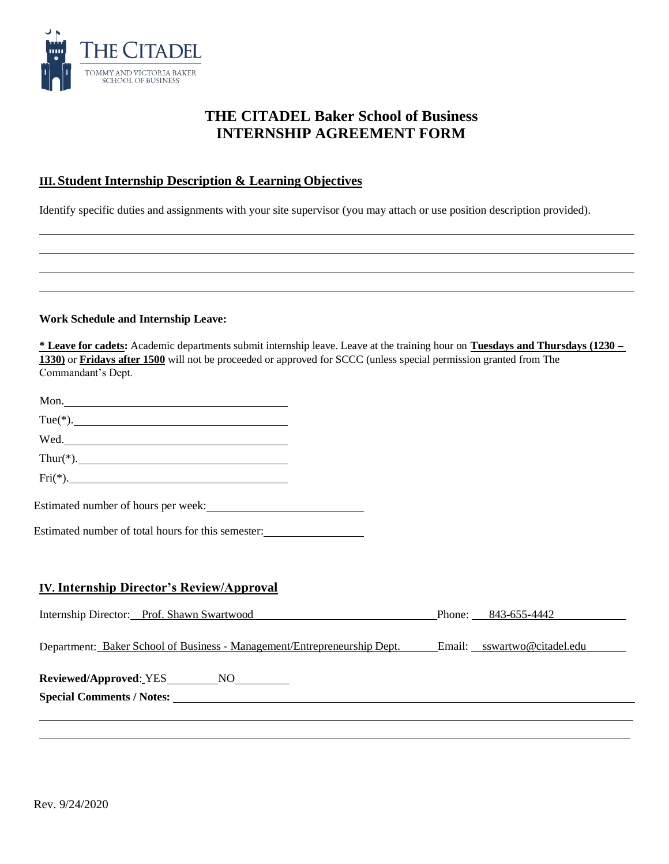

### **III. Student Internship Description & Learning Objectives**

Identify specific duties and assignments with your site supervisor (you may attach or use position description provided).

#### **Work Schedule and Internship Leave:**

| * Leave for cadets: Academic departments submit internship leave. Leave at the training hour on Tuesdays and Thursdays (1230 – |
|--------------------------------------------------------------------------------------------------------------------------------|
| 1330) or Fridays after 1500 will not be proceeded or approved for SCCC (unless special permission granted from The             |
| Commandant's Dept.                                                                                                             |

| Mon.                                                                                                                                                                                                                                 |  |                     |
|--------------------------------------------------------------------------------------------------------------------------------------------------------------------------------------------------------------------------------------|--|---------------------|
| $Tue(*).$                                                                                                                                                                                                                            |  |                     |
| Wed.                                                                                                                                                                                                                                 |  |                     |
| $Thur(*).$                                                                                                                                                                                                                           |  |                     |
| $\text{Fri}(*).$                                                                                                                                                                                                                     |  |                     |
|                                                                                                                                                                                                                                      |  |                     |
| Estimated number of total hours for this semester:                                                                                                                                                                                   |  |                     |
|                                                                                                                                                                                                                                      |  |                     |
| <b>IV. Internship Director's Review/Approval</b>                                                                                                                                                                                     |  |                     |
| Internship Director: Prof. Shawn Swartwood                                                                                                                                                                                           |  | Phone: 843-655-4442 |
| Department: Baker School of Business - Management/Entrepreneurship Dept. Email: sswartwo@citadel.edu                                                                                                                                 |  |                     |
| Reviewed/Approved: YES___________NO___________                                                                                                                                                                                       |  |                     |
| Special Comments / Notes: <u>and the community of the contract of the contract of the contract of the contract of the contract of the contract of the contract of the contract of the contract of the contract of the contract o</u> |  |                     |
|                                                                                                                                                                                                                                      |  |                     |
|                                                                                                                                                                                                                                      |  |                     |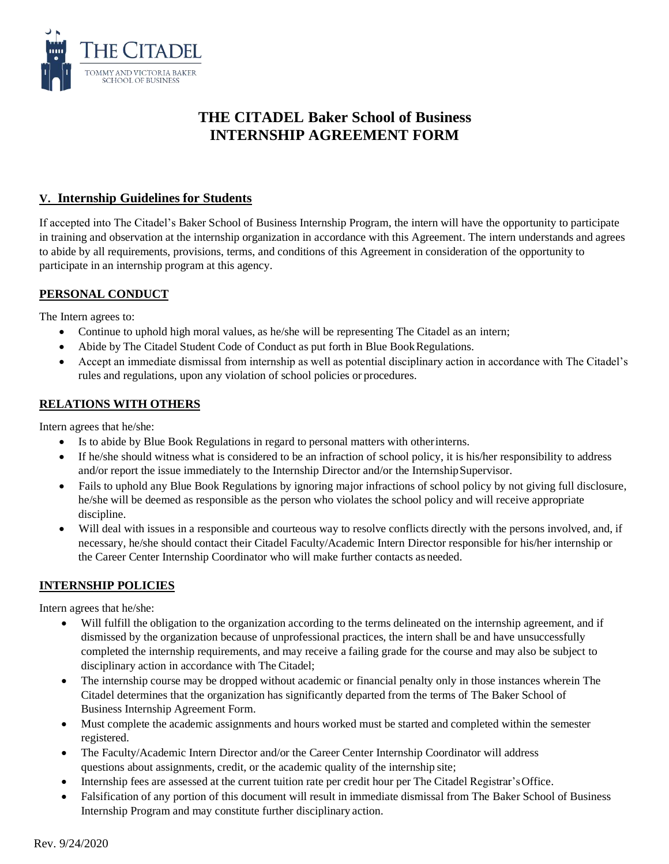

#### **V. Internship Guidelines for Students**

If accepted into The Citadel's Baker School of Business Internship Program, the intern will have the opportunity to participate in training and observation at the internship organization in accordance with this Agreement. The intern understands and agrees to abide by all requirements, provisions, terms, and conditions of this Agreement in consideration of the opportunity to participate in an internship program at this agency.

### **PERSONAL CONDUCT**

The Intern agrees to:

- Continue to uphold high moral values, as he/she will be representing The Citadel as an intern;
- Abide by The Citadel Student Code of Conduct as put forth in Blue Book Regulations.
- Accept an immediate dismissal from internship as well as potential disciplinary action in accordance with The Citadel's rules and regulations, upon any violation of school policies or procedures.

#### **RELATIONS WITH OTHERS**

Intern agrees that he/she:

- Is to abide by Blue Book Regulations in regard to personal matters with otherinterns.
- If he/she should witness what is considered to be an infraction of school policy, it is his/her responsibility to address and/or report the issue immediately to the Internship Director and/or the InternshipSupervisor.
- Fails to uphold any Blue Book Regulations by ignoring major infractions of school policy by not giving full disclosure, he/she will be deemed as responsible as the person who violates the school policy and will receive appropriate discipline.
- Will deal with issues in a responsible and courteous way to resolve conflicts directly with the persons involved, and, if necessary, he/she should contact their Citadel Faculty/Academic Intern Director responsible for his/her internship or the Career Center Internship Coordinator who will make further contacts as needed.

#### **INTERNSHIP POLICIES**

Intern agrees that he/she:

- Will fulfill the obligation to the organization according to the terms delineated on the internship agreement, and if dismissed by the organization because of unprofessional practices, the intern shall be and have unsuccessfully completed the internship requirements, and may receive a failing grade for the course and may also be subject to disciplinary action in accordance with The Citadel;
- The internship course may be dropped without academic or financial penalty only in those instances wherein The Citadel determines that the organization has significantly departed from the terms of The Baker School of Business Internship Agreement Form.
- Must complete the academic assignments and hours worked must be started and completed within the semester registered.
- The Faculty/Academic Intern Director and/or the Career Center Internship Coordinator will address questions about assignments, credit, or the academic quality of the internship site;
- Internship fees are assessed at the current tuition rate per credit hour per The Citadel Registrar's Office.
- Falsification of any portion of this document will result in immediate dismissal from The Baker School of Business Internship Program and may constitute further disciplinary action.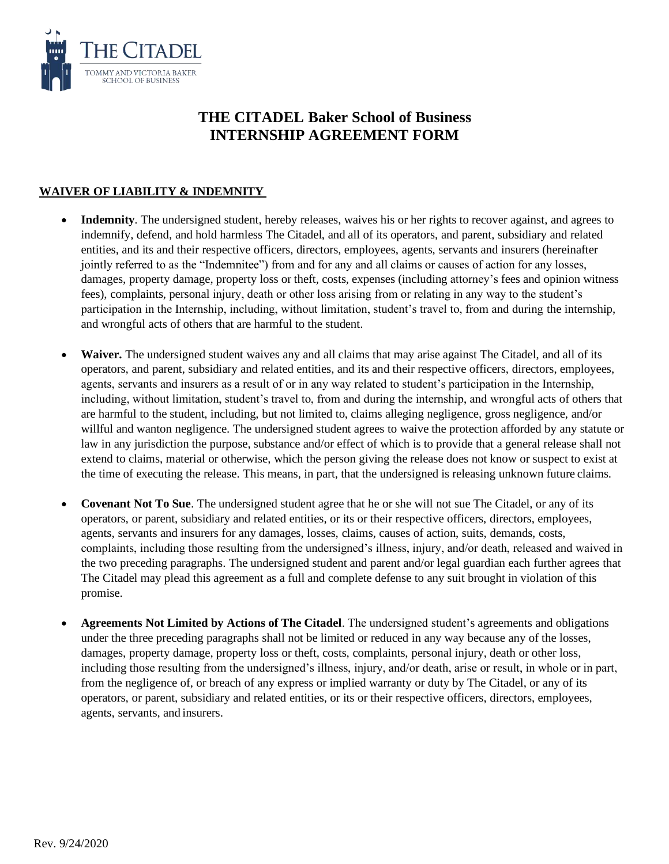

### **WAIVER OF LIABILITY & INDEMNITY**

- **Indemnity**. The undersigned student, hereby releases, waives his or her rights to recover against, and agrees to indemnify, defend, and hold harmless The Citadel, and all of its operators, and parent, subsidiary and related entities, and its and their respective officers, directors, employees, agents, servants and insurers (hereinafter jointly referred to as the "Indemnitee") from and for any and all claims or causes of action for any losses, damages, property damage, property loss or theft, costs, expenses (including attorney's fees and opinion witness fees), complaints, personal injury, death or other loss arising from or relating in any way to the student's participation in the Internship, including, without limitation, student's travel to, from and during the internship, and wrongful acts of others that are harmful to the student.
- Waiver. The undersigned student waives any and all claims that may arise against The Citadel, and all of its operators, and parent, subsidiary and related entities, and its and their respective officers, directors, employees, agents, servants and insurers as a result of or in any way related to student's participation in the Internship, including, without limitation, student's travel to, from and during the internship, and wrongful acts of others that are harmful to the student, including, but not limited to, claims alleging negligence, gross negligence, and/or willful and wanton negligence. The undersigned student agrees to waive the protection afforded by any statute or law in any jurisdiction the purpose, substance and/or effect of which is to provide that a general release shall not extend to claims, material or otherwise, which the person giving the release does not know or suspect to exist at the time of executing the release. This means, in part, that the undersigned is releasing unknown future claims.
- **Covenant Not To Sue**. The undersigned student agree that he or she will not sue The Citadel, or any of its operators, or parent, subsidiary and related entities, or its or their respective officers, directors, employees, agents, servants and insurers for any damages, losses, claims, causes of action, suits, demands, costs, complaints, including those resulting from the undersigned's illness, injury, and/or death, released and waived in the two preceding paragraphs. The undersigned student and parent and/or legal guardian each further agrees that The Citadel may plead this agreement as a full and complete defense to any suit brought in violation of this promise.
- **Agreements Not Limited by Actions of The Citadel**. The undersigned student's agreements and obligations under the three preceding paragraphs shall not be limited or reduced in any way because any of the losses, damages, property damage, property loss or theft, costs, complaints, personal injury, death or other loss, including those resulting from the undersigned's illness, injury, and/or death, arise or result, in whole or in part, from the negligence of, or breach of any express or implied warranty or duty by The Citadel, or any of its operators, or parent, subsidiary and related entities, or its or their respective officers, directors, employees, agents, servants, and insurers.